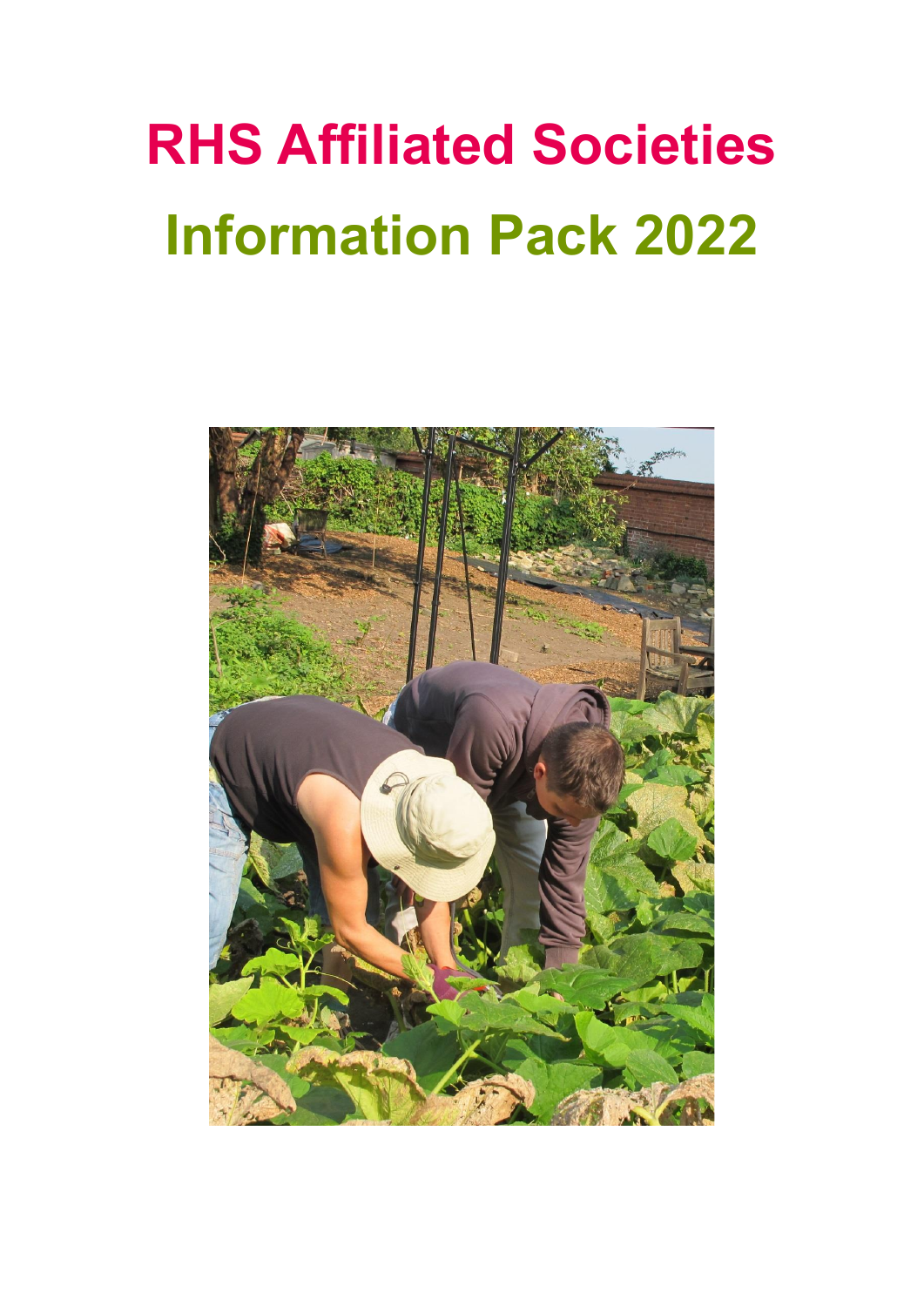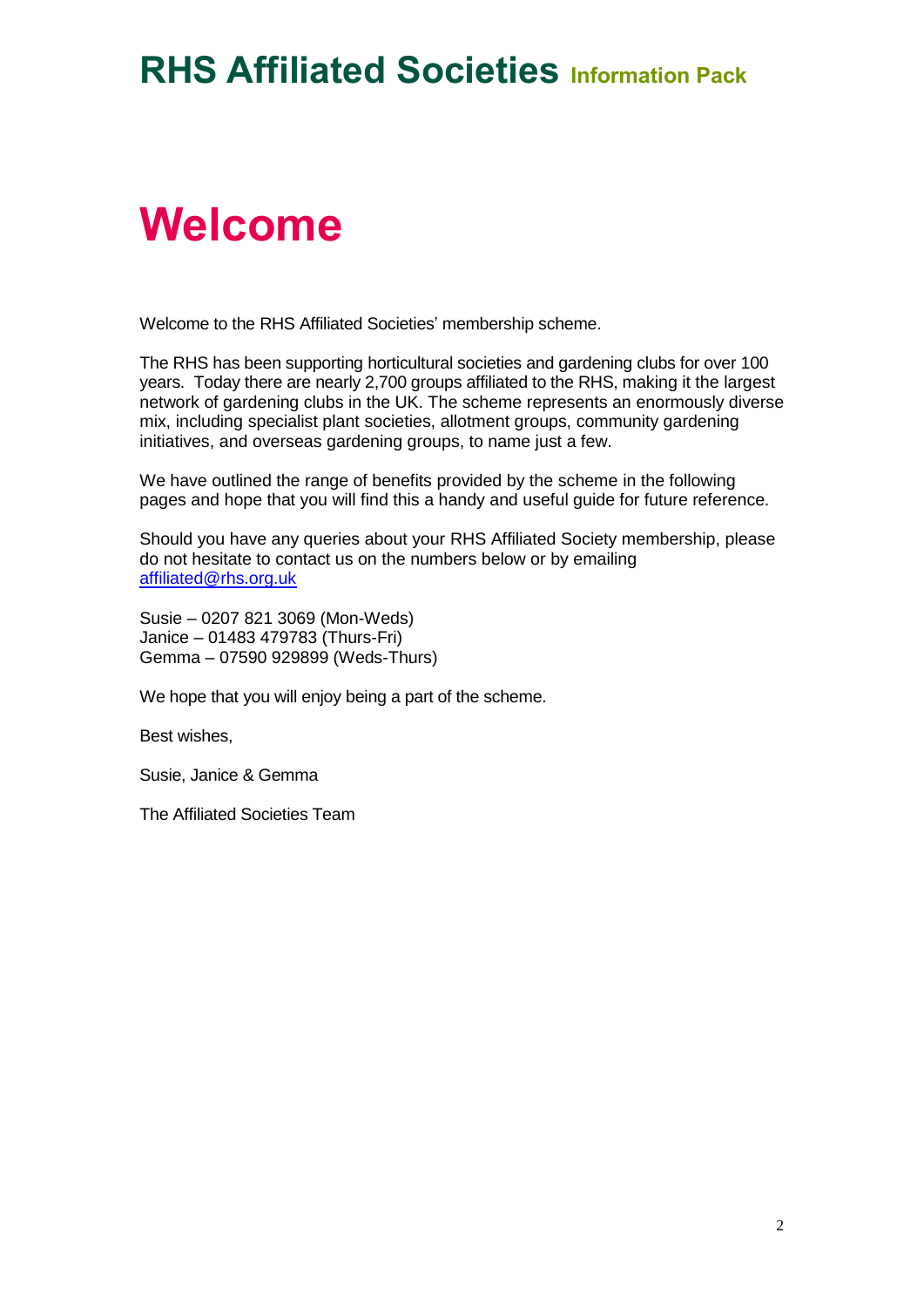## **Welcome**

Welcome to the RHS Affiliated Societies' membership scheme.

The RHS has been supporting horticultural societies and gardening clubs for over 100 years. Today there are nearly 2,700 groups affiliated to the RHS, making it the largest network of gardening clubs in the UK. The scheme represents an enormously diverse mix, including specialist plant societies, allotment groups, community gardening initiatives, and overseas gardening groups, to name just a few.

We have outlined the range of benefits provided by the scheme in the following pages and hope that you will find this a handy and useful guide for future reference.

Should you have any queries about your RHS Affiliated Society membership, please do not hesitate to contact us on the numbers below or by emailing [affiliated@rhs.org.uk](mailto:affiliated@rhs.org.uk)

Susie – 0207 821 3069 (Mon-Weds) Janice – 01483 479783 (Thurs-Fri) Gemma – 07590 929899 (Weds-Thurs)

We hope that you will enjoy being a part of the scheme.

Best wishes,

Susie, Janice & Gemma

The Affiliated Societies Team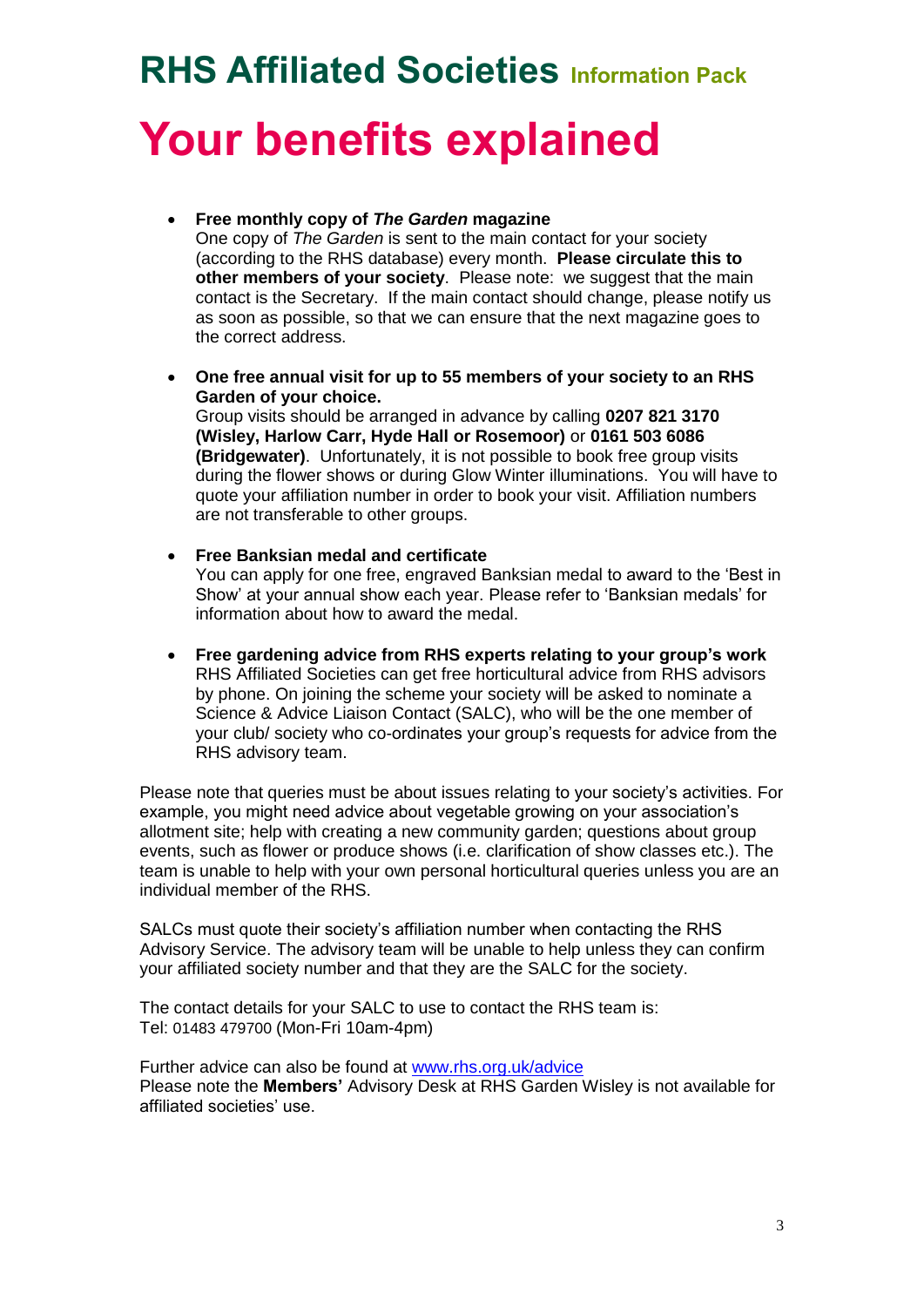# **RHS Affiliated Societies Information Pack Your benefits explained**

### **Free monthly copy of** *The Garden* **magazine**

One copy of *The Garden* is sent to the main contact for your society (according to the RHS database) every month. **Please circulate this to other members of your society**. Please note: we suggest that the main contact is the Secretary. If the main contact should change, please notify us as soon as possible, so that we can ensure that the next magazine goes to the correct address.

 **One free annual visit for up to 55 members of your society to an RHS Garden of your choice.**

Group visits should be arranged in advance by calling **0207 821 3170 (Wisley, Harlow Carr, Hyde Hall or Rosemoor)** or **0161 503 6086 (Bridgewater)**. Unfortunately, it is not possible to book free group visits during the flower shows or during Glow Winter illuminations. You will have to quote your affiliation number in order to book your visit. Affiliation numbers are not transferable to other groups.

**Free Banksian medal and certificate**

You can apply for one free, engraved Banksian medal to award to the 'Best in Show' at your annual show each year. Please refer to 'Banksian medals' for information about how to award the medal.

 **Free gardening advice from RHS experts relating to your group's work** RHS Affiliated Societies can get free horticultural advice from RHS advisors by phone. On joining the scheme your society will be asked to nominate a Science & Advice Liaison Contact (SALC), who will be the one member of your club/ society who co-ordinates your group's requests for advice from the RHS advisory team.

Please note that queries must be about issues relating to your society's activities. For example, you might need advice about vegetable growing on your association's allotment site; help with creating a new community garden; questions about group events, such as flower or produce shows (i.e. clarification of show classes etc.). The team is unable to help with your own personal horticultural queries unless you are an individual member of the RHS.

SALCs must quote their society's affiliation number when contacting the RHS Advisory Service. The advisory team will be unable to help unless they can confirm your affiliated society number and that they are the SALC for the society.

The contact details for your SALC to use to contact the RHS team is: Tel: 01483 479700 (Mon-Fri 10am-4pm)

Further advice can also be found at [www.rhs.org.uk/advice](http://www.rhs.org.uk/advice) Please note the **Members'** Advisory Desk at RHS Garden Wisley is not available for affiliated societies' use.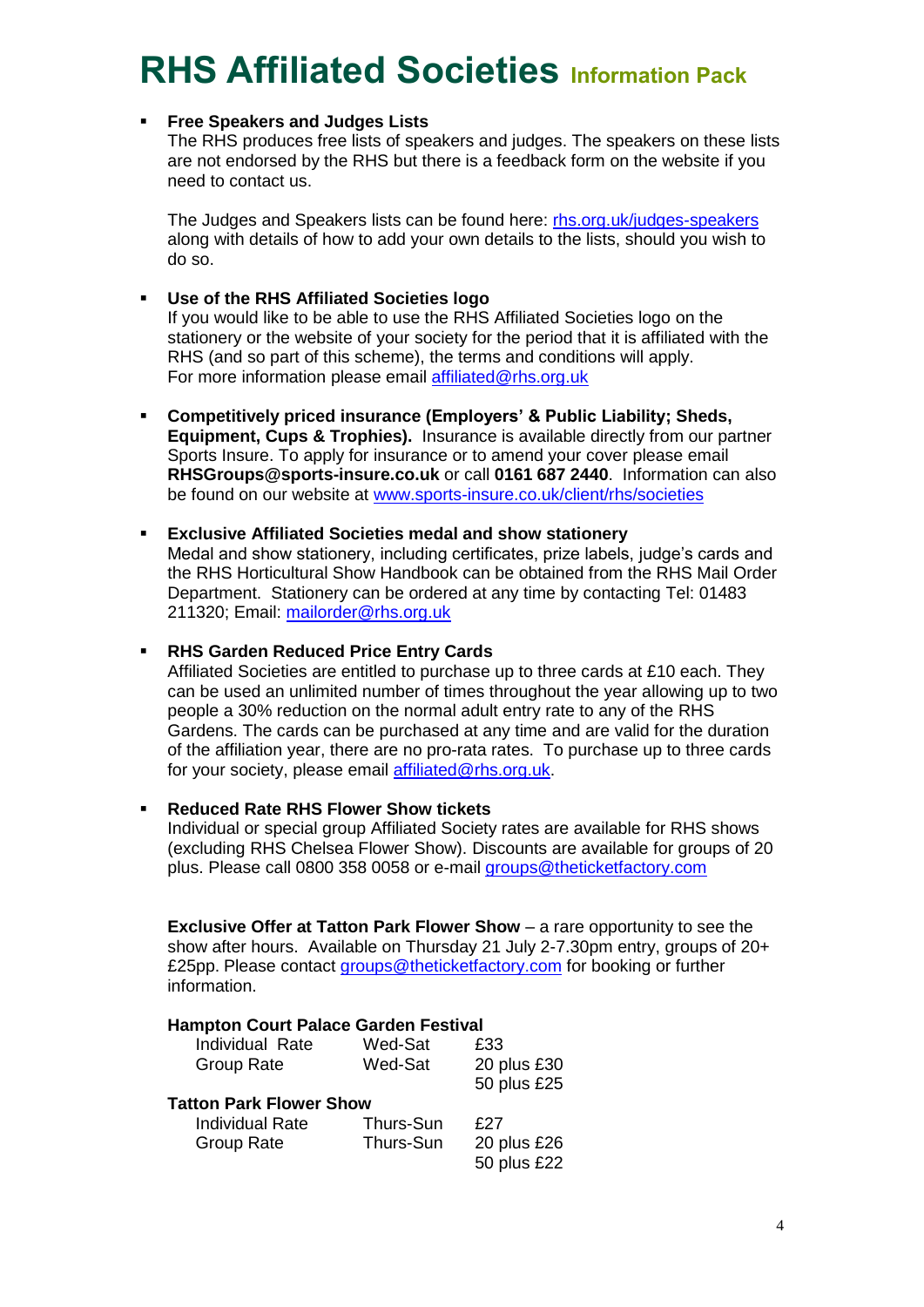### **Free Speakers and Judges Lists**

The RHS produces free lists of speakers and judges. The speakers on these lists are not endorsed by the RHS but there is a feedback form on the website if you need to contact us.

The Judges and Speakers lists can be found here: [rhs.org.uk/judges-speakers](https://www.rhs.org.uk/judges-speakers) along with details of how to add your own details to the lists, should you wish to do so.

### **Use of the RHS Affiliated Societies logo**

If you would like to be able to use the RHS Affiliated Societies logo on the stationery or the website of your society for the period that it is affiliated with the RHS (and so part of this scheme), the terms and conditions will apply. For more information please email [affiliated@rhs.org.uk](mailto:affiliated@rhs.org.uk)

 **Competitively priced insurance (Employers' & Public Liability; Sheds, Equipment, Cups & Trophies).** Insurance is available directly from our partner Sports Insure. To apply for insurance or to amend your cover please email **RHSGroups@sports-insure.co.uk** or call **0161 687 2440**. Information can also be found on our website at [www.sports-insure.co.uk/client/rhs/societies](http://www.sports-insure.co.uk/client/rhs/societies)

### **Exclusive Affiliated Societies medal and show stationery**

Medal and show stationery, including certificates, prize labels, judge's cards and the RHS Horticultural Show Handbook can be obtained from the RHS Mail Order Department. Stationery can be ordered at any time by contacting Tel: 01483 211320; Email: [mailorder@rhs.org.uk](mailto:mailorder@rhs.org.uk)

### **RHS Garden Reduced Price Entry Cards**

Affiliated Societies are entitled to purchase up to three cards at £10 each. They can be used an unlimited number of times throughout the year allowing up to two people a 30% reduction on the normal adult entry rate to any of the RHS Gardens. The cards can be purchased at any time and are valid for the duration of the affiliation year, there are no pro-rata rates. To purchase up to three cards for your society, please email [affiliated@rhs.org.uk.](mailto:affiliated@rhs.org.uk)

### **Reduced Rate RHS Flower Show tickets**

Individual or special group Affiliated Society rates are available for RHS shows (excluding RHS Chelsea Flower Show). Discounts are available for groups of 20 plus. Please call 0800 358 0058 or e-mail [groups@theticketfactory.com](mailto:groups@theticketfactory.com)

**Exclusive Offer at Tatton Park Flower Show** – a rare opportunity to see the show after hours. Available on Thursday 21 July 2-7.30pm entry, groups of 20+ £25pp. Please contact [groups@theticketfactory.com](mailto:groups@theticketfactory.com) for booking or further information.

### **Hampton Court Palace Garden Festival**

| Individual Rate                | Wed-Sat   | £33         |
|--------------------------------|-----------|-------------|
| <b>Group Rate</b>              | Wed-Sat   | 20 plus £30 |
|                                |           | 50 plus £25 |
| <b>Tatton Park Flower Show</b> |           |             |
| <b>Individual Rate</b>         | Thurs-Sun | f 27        |
| <b>Group Rate</b>              | Thurs-Sun | 20 plus £26 |
|                                |           | 50 plus £22 |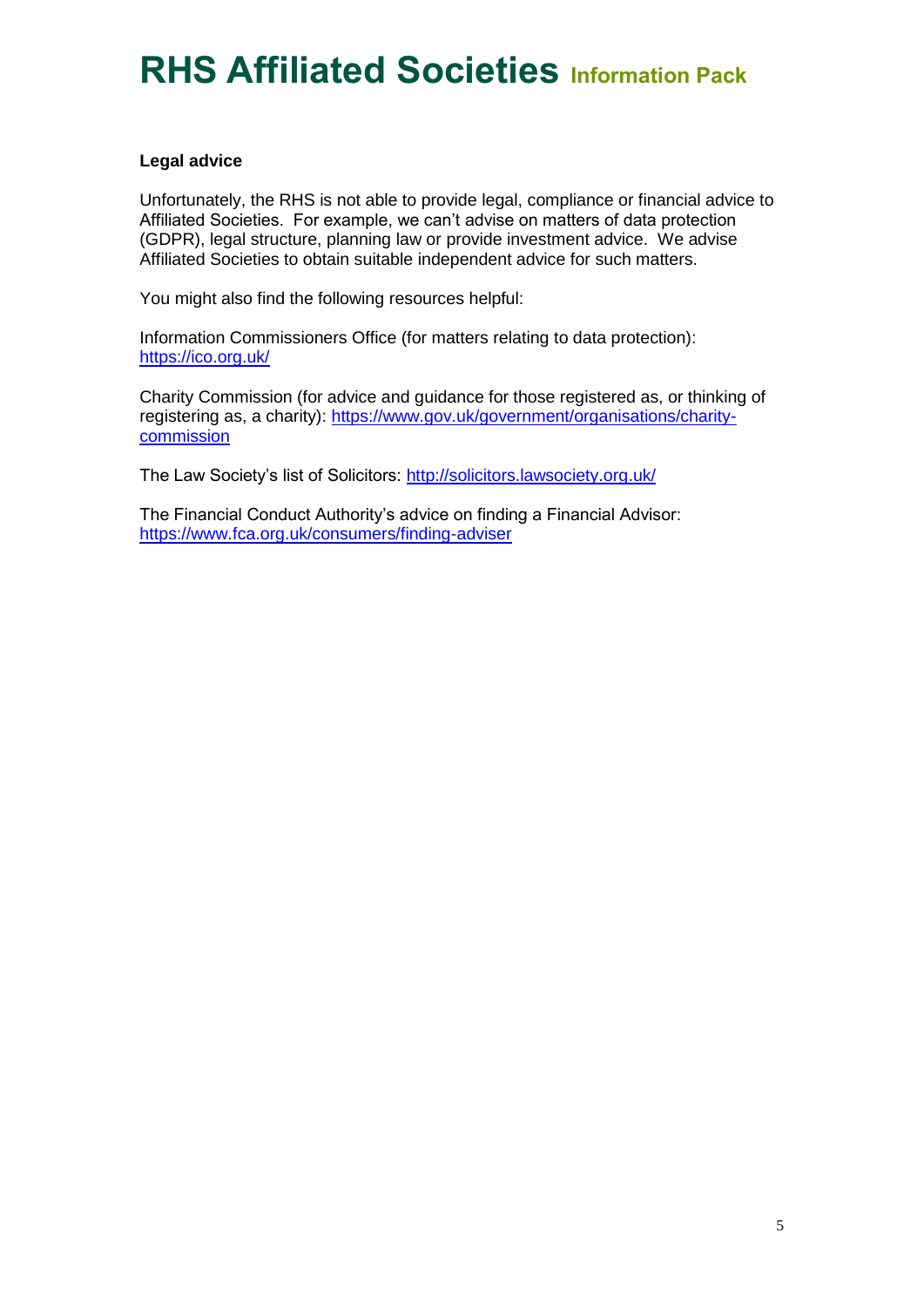### **Legal advice**

Unfortunately, the RHS is not able to provide legal, compliance or financial advice to Affiliated Societies. For example, we can't advise on matters of data protection (GDPR), legal structure, planning law or provide investment advice. We advise Affiliated Societies to obtain suitable independent advice for such matters.

You might also find the following resources helpful:

Information Commissioners Office (for matters relating to data protection): <https://ico.org.uk/>

Charity Commission (for advice and guidance for those registered as, or thinking of registering as, a charity): [https://www.gov.uk/government/organisations/charity](https://www.gov.uk/government/organisations/charity-commission)[commission](https://www.gov.uk/government/organisations/charity-commission)

The Law Society's list of Solicitors:<http://solicitors.lawsociety.org.uk/>

The Financial Conduct Authority's advice on finding a Financial Advisor: <https://www.fca.org.uk/consumers/finding-adviser>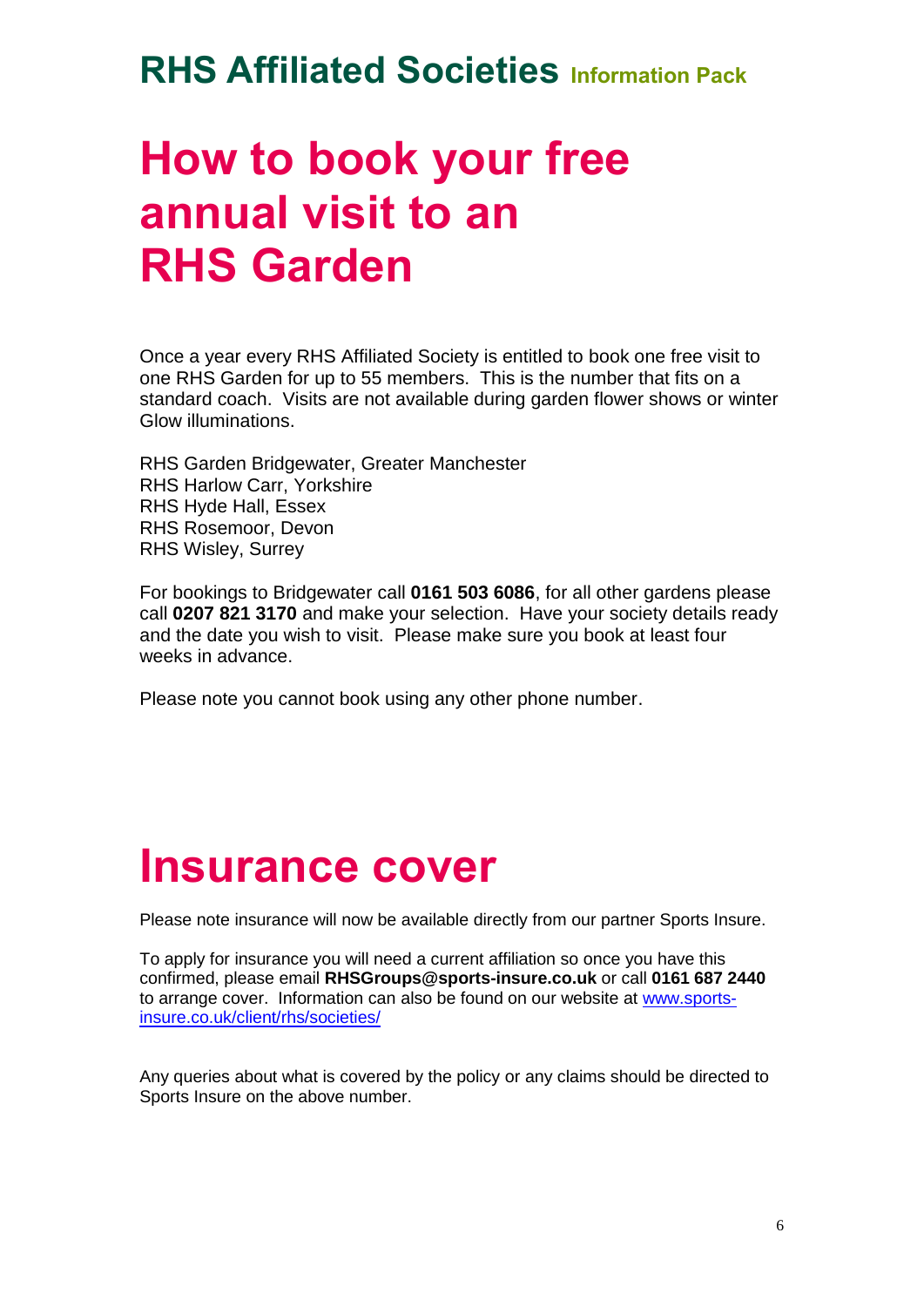## **How to book your free annual visit to an RHS Garden**

Once a year every RHS Affiliated Society is entitled to book one free visit to one RHS Garden for up to 55 members. This is the number that fits on a standard coach. Visits are not available during garden flower shows or winter Glow illuminations.

RHS Garden Bridgewater, Greater Manchester RHS Harlow Carr, Yorkshire RHS Hyde Hall, Essex RHS Rosemoor, Devon RHS Wisley, Surrey

For bookings to Bridgewater call **0161 503 6086**, for all other gardens please call **0207 821 3170** and make your selection. Have your society details ready and the date you wish to visit. Please make sure you book at least four weeks in advance.

Please note you cannot book using any other phone number.

### **Insurance cover**

Please note insurance will now be available directly from our partner Sports Insure.

To apply for insurance you will need a current affiliation so once you have this confirmed, please email **RHSGroups@sports-insure.co.uk** or call **0161 687 2440** to arrange cover. Information can also be found on our website at [www.sports](http://www.sports-insure.co.uk/client/rhs/societies/)[insure.co.uk/client/rhs/societies/](http://www.sports-insure.co.uk/client/rhs/societies/)

Any queries about what is covered by the policy or any claims should be directed to Sports Insure on the above number.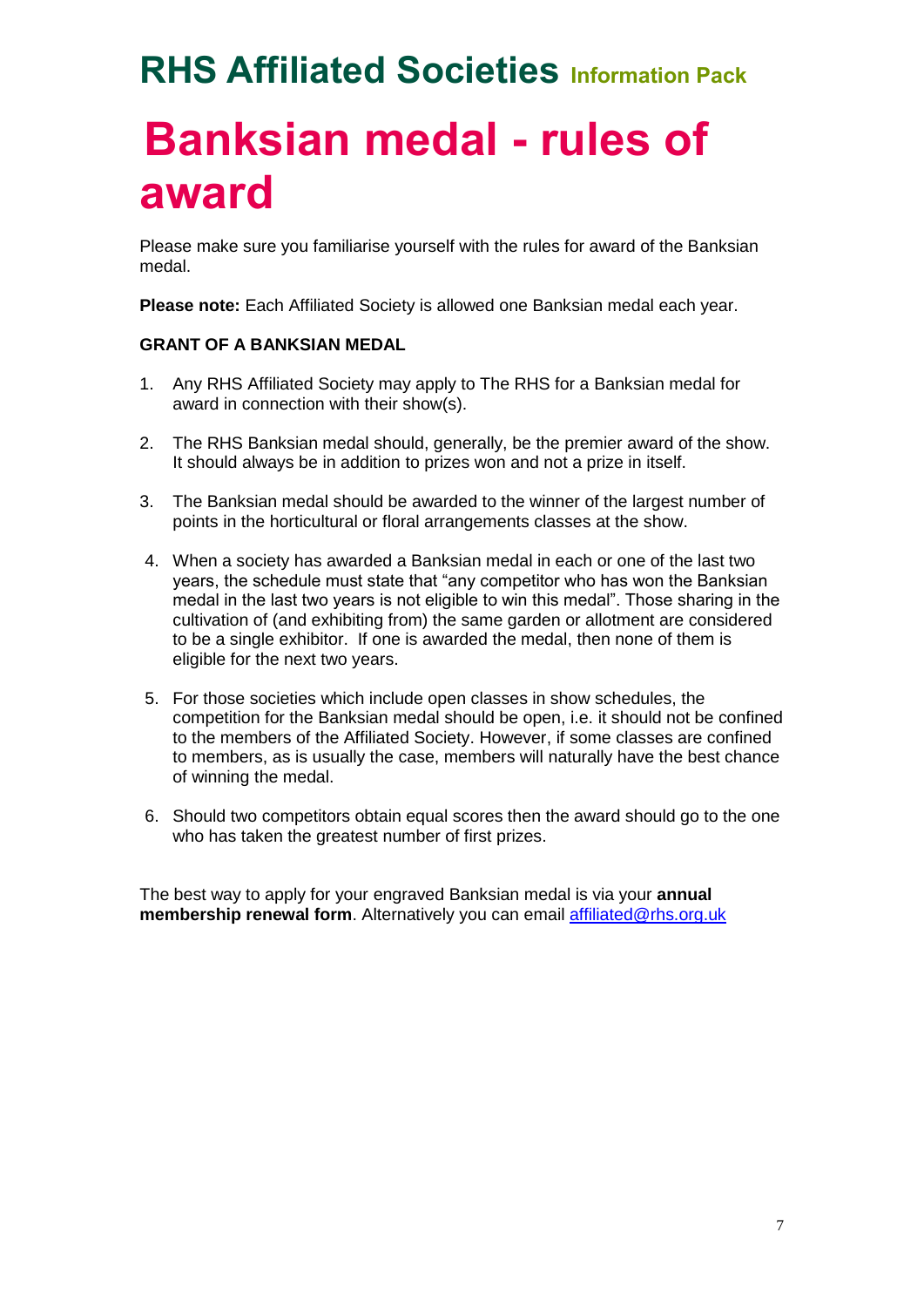## **Banksian medal - rules of award**

Please make sure you familiarise yourself with the rules for award of the Banksian medal.

**Please note:** Each Affiliated Society is allowed one Banksian medal each year.

### **GRANT OF A BANKSIAN MEDAL**

- 1. Any RHS Affiliated Society may apply to The RHS for a Banksian medal for award in connection with their show(s).
- 2. The RHS Banksian medal should, generally, be the premier award of the show. It should always be in addition to prizes won and not a prize in itself.
- 3. The Banksian medal should be awarded to the winner of the largest number of points in the horticultural or floral arrangements classes at the show.
- 4. When a society has awarded a Banksian medal in each or one of the last two years, the schedule must state that "any competitor who has won the Banksian medal in the last two years is not eligible to win this medal". Those sharing in the cultivation of (and exhibiting from) the same garden or allotment are considered to be a single exhibitor. If one is awarded the medal, then none of them is eligible for the next two years.
- 5. For those societies which include open classes in show schedules, the competition for the Banksian medal should be open, i.e. it should not be confined to the members of the Affiliated Society. However, if some classes are confined to members, as is usually the case, members will naturally have the best chance of winning the medal.
- 6. Should two competitors obtain equal scores then the award should go to the one who has taken the greatest number of first prizes.

The best way to apply for your engraved Banksian medal is via your **annual membership renewal form**. Alternatively you can email [affiliated@rhs.org.uk](mailto:affiliated@rhs.org.uk)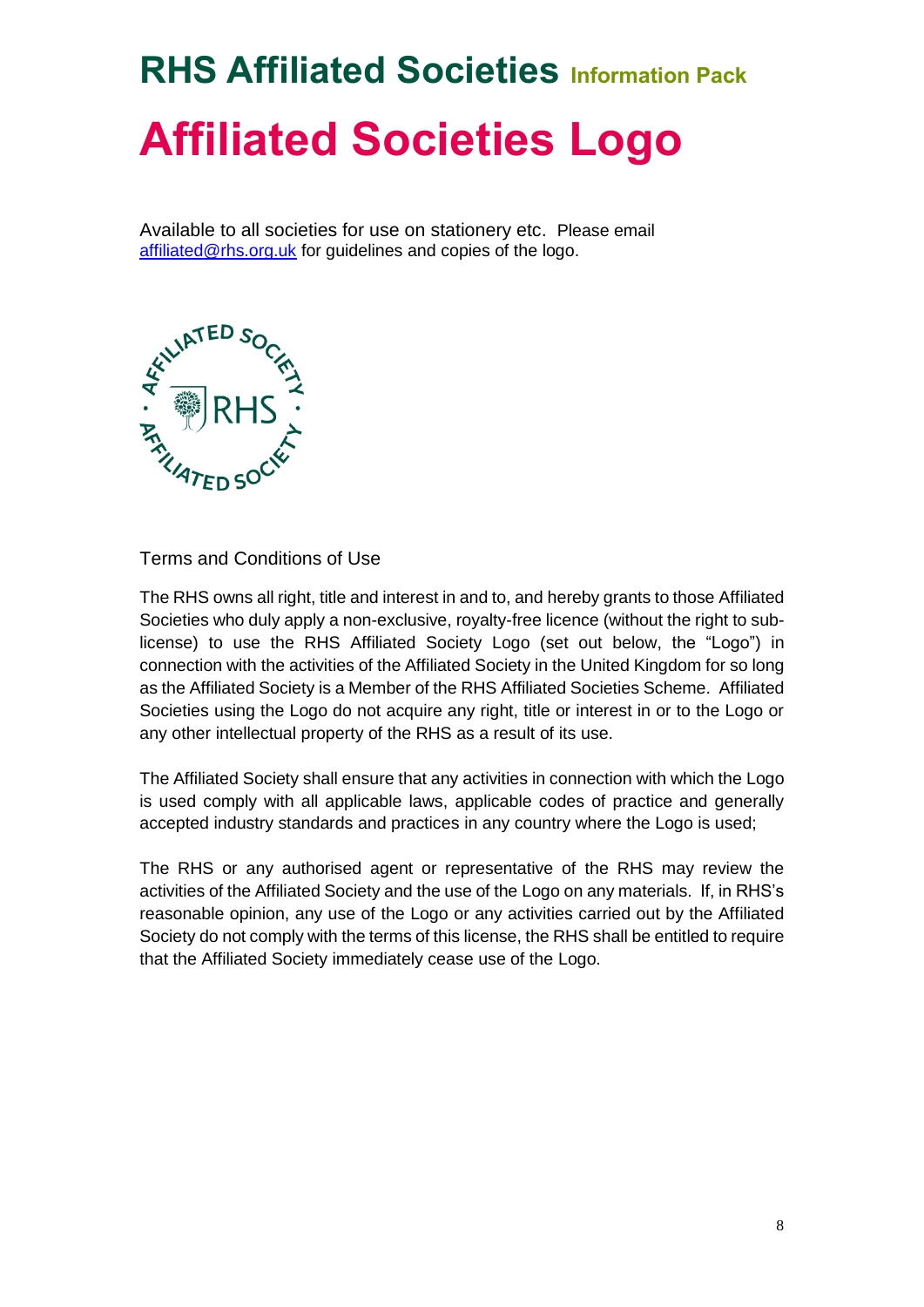# **RHS Affiliated Societies Information Pack Affiliated Societies Logo**

Available to all societies for use on stationery etc. Please email [affiliated@rhs.org.uk](mailto:affiliated@rhs.org.uk) for guidelines and copies of the logo.



Terms and Conditions of Use

The RHS owns all right, title and interest in and to, and hereby grants to those Affiliated Societies who duly apply a non-exclusive, royalty-free licence (without the right to sublicense) to use the RHS Affiliated Society Logo (set out below, the "Logo") in connection with the activities of the Affiliated Society in the United Kingdom for so long as the Affiliated Society is a Member of the RHS Affiliated Societies Scheme. Affiliated Societies using the Logo do not acquire any right, title or interest in or to the Logo or any other intellectual property of the RHS as a result of its use.

The Affiliated Society shall ensure that any activities in connection with which the Logo is used comply with all applicable laws, applicable codes of practice and generally accepted industry standards and practices in any country where the Logo is used;

The RHS or any authorised agent or representative of the RHS may review the activities of the Affiliated Society and the use of the Logo on any materials. If, in RHS's reasonable opinion, any use of the Logo or any activities carried out by the Affiliated Society do not comply with the terms of this license, the RHS shall be entitled to require that the Affiliated Society immediately cease use of the Logo.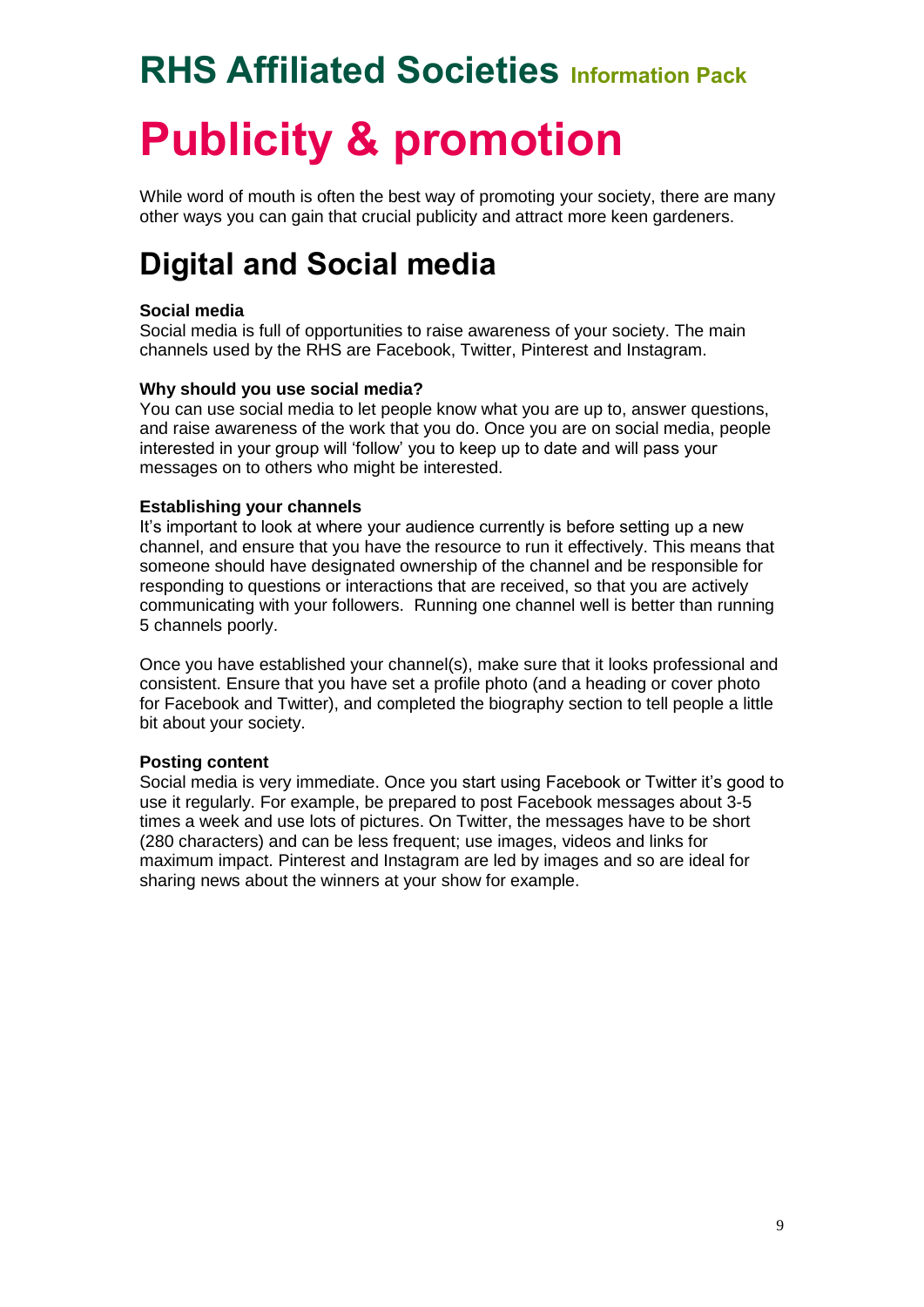# **RHS Affiliated Societies Information Pack Publicity & promotion**

While word of mouth is often the best way of promoting your society, there are many other ways you can gain that crucial publicity and attract more keen gardeners.

### **Digital and Social media**

### **Social media**

Social media is full of opportunities to raise awareness of your society. The main channels used by the RHS are Facebook, Twitter, Pinterest and Instagram.

### **Why should you use social media?**

You can use social media to let people know what you are up to, answer questions, and raise awareness of the work that you do. Once you are on social media, people interested in your group will 'follow' you to keep up to date and will pass your messages on to others who might be interested.

#### **Establishing your channels**

It's important to look at where your audience currently is before setting up a new channel, and ensure that you have the resource to run it effectively. This means that someone should have designated ownership of the channel and be responsible for responding to questions or interactions that are received, so that you are actively communicating with your followers. Running one channel well is better than running 5 channels poorly.

Once you have established your channel(s), make sure that it looks professional and consistent. Ensure that you have set a profile photo (and a heading or cover photo for Facebook and Twitter), and completed the biography section to tell people a little bit about your society.

#### **Posting content**

Social media is very immediate. Once you start using Facebook or Twitter it's good to use it regularly. For example, be prepared to post Facebook messages about 3-5 times a week and use lots of pictures. On Twitter, the messages have to be short (280 characters) and can be less frequent; use images, videos and links for maximum impact. Pinterest and Instagram are led by images and so are ideal for sharing news about the winners at your show for example.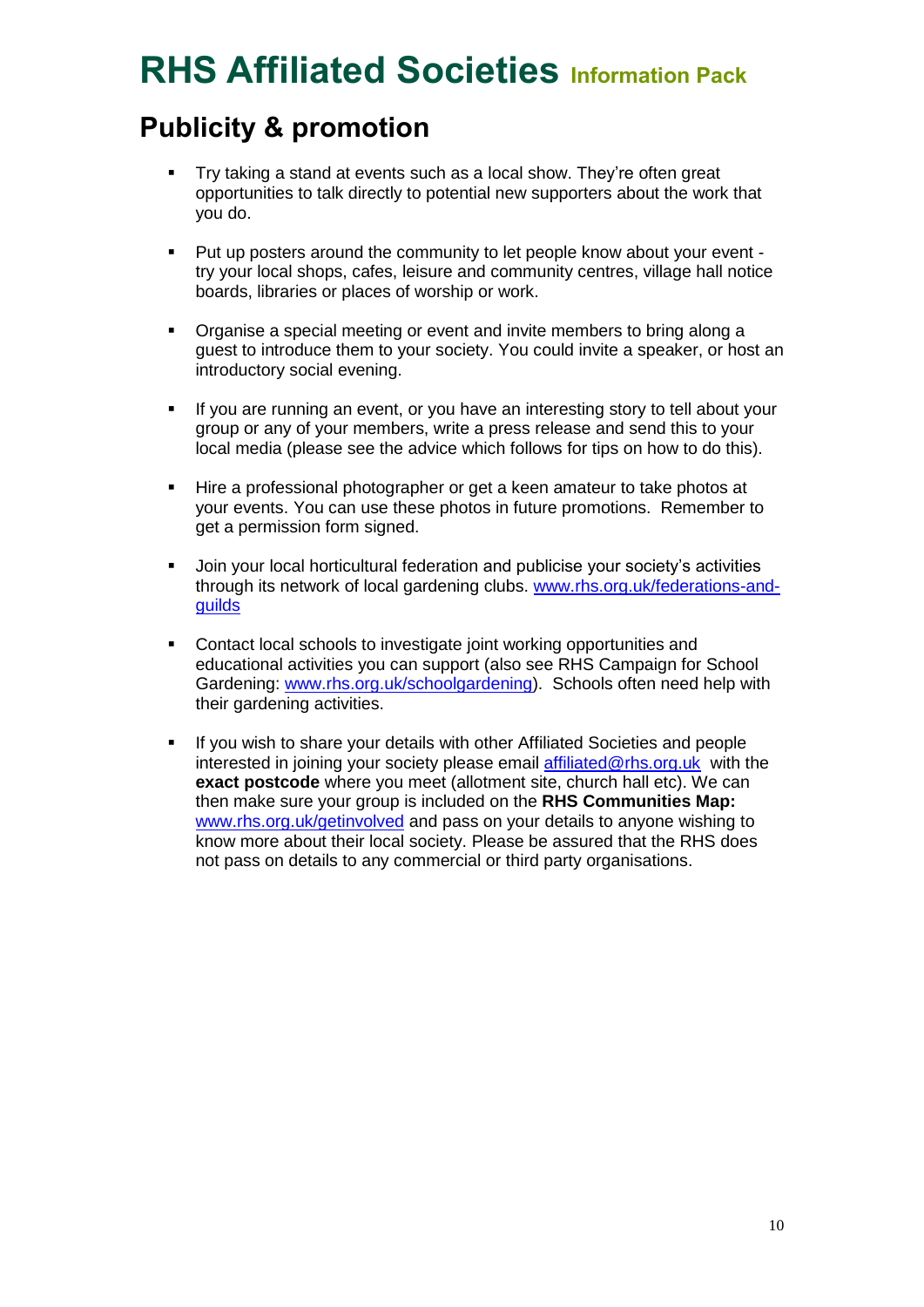### **Publicity & promotion**

- Try taking a stand at events such as a local show. They're often great opportunities to talk directly to potential new supporters about the work that you do.
- Put up posters around the community to let people know about your event try your local shops, cafes, leisure and community centres, village hall notice boards, libraries or places of worship or work.
- Organise a special meeting or event and invite members to bring along a guest to introduce them to your society. You could invite a speaker, or host an introductory social evening.
- If you are running an event, or you have an interesting story to tell about your group or any of your members, write a press release and send this to your local media (please see the advice which follows for tips on how to do this).
- Hire a professional photographer or get a keen amateur to take photos at your events. You can use these photos in future promotions. Remember to get a permission form signed.
- Join your local horticultural federation and publicise your society's activities through its network of local gardening clubs. [www.rhs.org.uk/federations-and](http://www.rhs.org.uk/federations-and-guilds)[guilds](http://www.rhs.org.uk/federations-and-guilds)
- Contact local schools to investigate joint working opportunities and educational activities you can support (also see RHS Campaign for School Gardening: [www.rhs.org.uk/schoolgardening\)](http://www.rhs.org.uk/schoolgardening). Schools often need help with their gardening activities.
- If you wish to share your details with other Affiliated Societies and people interested in joining your society please email [affiliated@rhs.org.uk](mailto:affiliated@rhs.org.uk) with the **exact postcode** where you meet (allotment site, church hall etc). We can then make sure your group is included on the **RHS Communities Map:** [www.rhs.org.uk/getinvolved](http://www.rhs.org.uk/getinvolved) and pass on your details to anyone wishing to know more about their local society. Please be assured that the RHS does not pass on details to any commercial or third party organisations.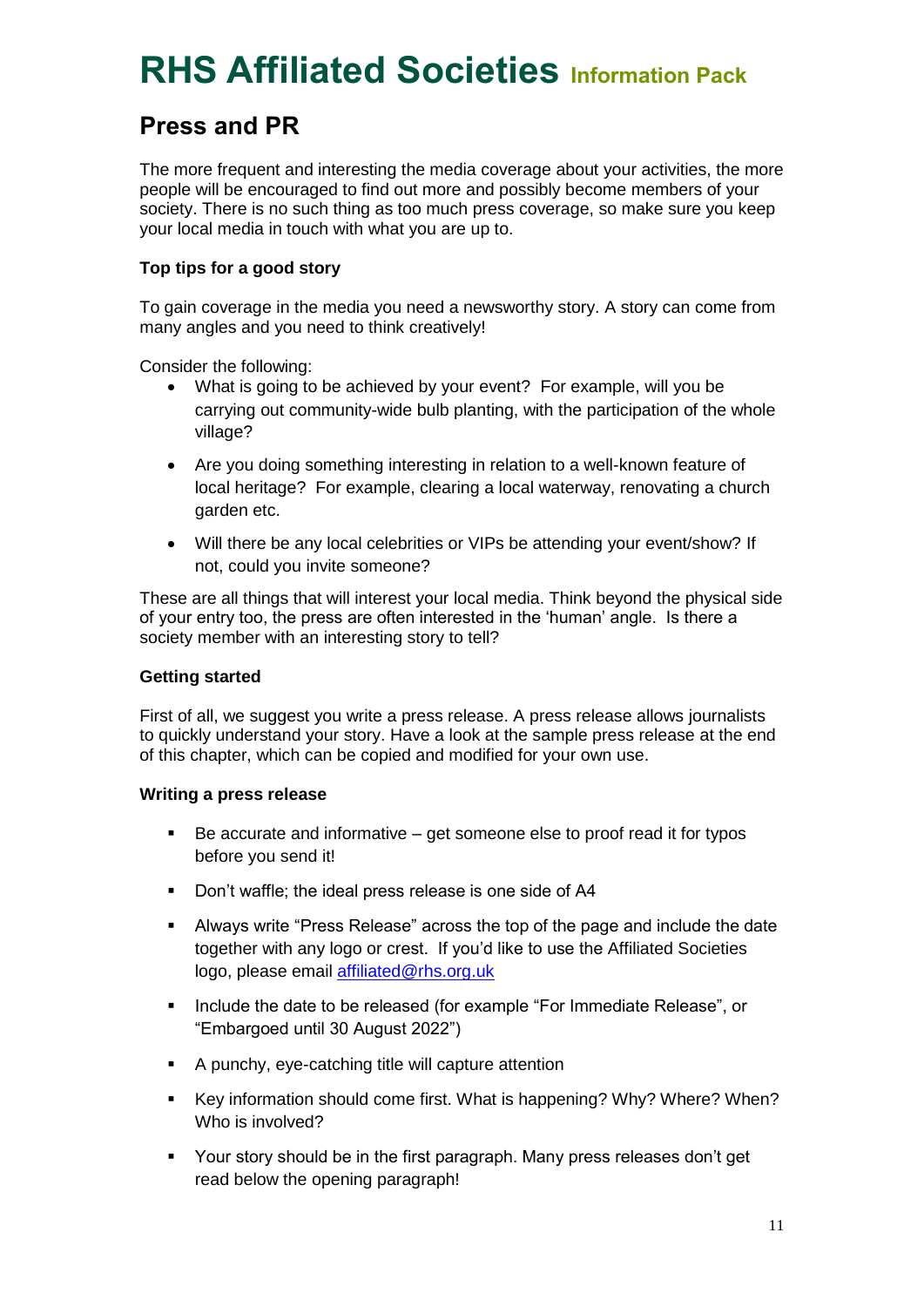### **Press and PR**

The more frequent and interesting the media coverage about your activities, the more people will be encouraged to find out more and possibly become members of your society. There is no such thing as too much press coverage, so make sure you keep your local media in touch with what you are up to.

### **Top tips for a good story**

To gain coverage in the media you need a newsworthy story. A story can come from many angles and you need to think creatively!

Consider the following:

- What is going to be achieved by your event? For example, will you be carrying out community-wide bulb planting, with the participation of the whole village?
- Are you doing something interesting in relation to a well-known feature of local heritage? For example, clearing a local waterway, renovating a church garden etc.
- Will there be any local celebrities or VIPs be attending your event/show? If not, could you invite someone?

These are all things that will interest your local media. Think beyond the physical side of your entry too, the press are often interested in the 'human' angle. Is there a society member with an interesting story to tell?

### **Getting started**

First of all, we suggest you write a press release. A press release allows journalists to quickly understand your story. Have a look at the sample press release at the end of this chapter, which can be copied and modified for your own use.

### **Writing a press release**

- $\blacksquare$  Be accurate and informative get someone else to proof read it for typos before you send it!
- Don't waffle; the ideal press release is one side of A4
- Always write "Press Release" across the top of the page and include the date together with any logo or crest. If you'd like to use the Affiliated Societies logo, please email [affiliated@rhs.org.uk](mailto:affiliated@rhs.org.uk)
- **Include the date to be released (for example "For Immediate Release", or** "Embargoed until 30 August 2022")
- A punchy, eye-catching title will capture attention
- Key information should come first. What is happening? Why? Where? When? Who is involved?
- Your story should be in the first paragraph. Many press releases don't get read below the opening paragraph!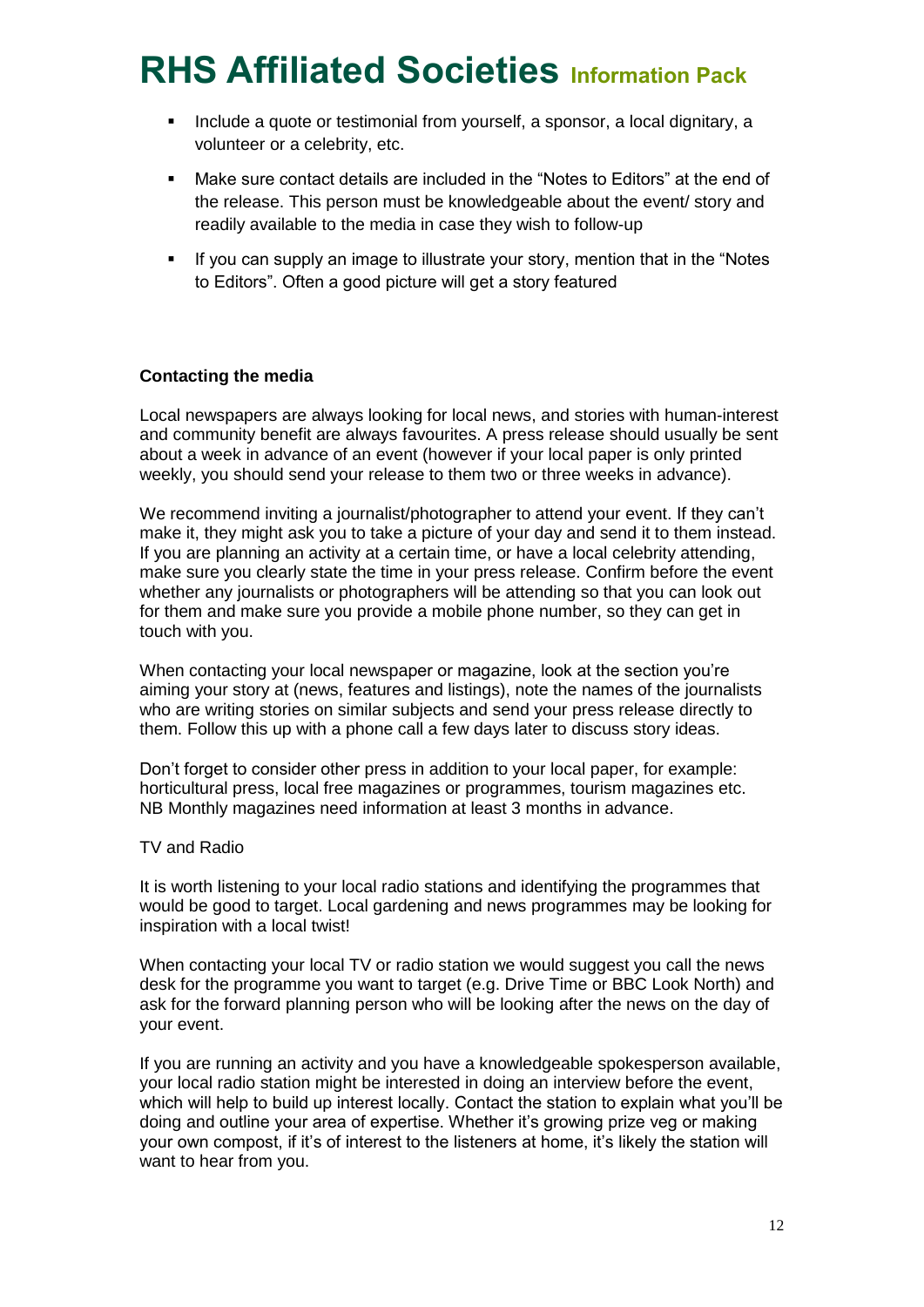- Include a quote or testimonial from yourself, a sponsor, a local dignitary, a volunteer or a celebrity, etc.
- Make sure contact details are included in the "Notes to Editors" at the end of the release. This person must be knowledgeable about the event/ story and readily available to the media in case they wish to follow-up
- If you can supply an image to illustrate your story, mention that in the "Notes to Editors". Often a good picture will get a story featured

### **Contacting the media**

Local newspapers are always looking for local news, and stories with human-interest and community benefit are always favourites. A press release should usually be sent about a week in advance of an event (however if your local paper is only printed weekly, you should send your release to them two or three weeks in advance).

We recommend inviting a journalist/photographer to attend your event. If they can't make it, they might ask you to take a picture of your day and send it to them instead. If you are planning an activity at a certain time, or have a local celebrity attending, make sure you clearly state the time in your press release. Confirm before the event whether any journalists or photographers will be attending so that you can look out for them and make sure you provide a mobile phone number, so they can get in touch with you.

When contacting your local newspaper or magazine, look at the section you're aiming your story at (news, features and listings), note the names of the journalists who are writing stories on similar subjects and send your press release directly to them. Follow this up with a phone call a few days later to discuss story ideas.

Don't forget to consider other press in addition to your local paper, for example: horticultural press, local free magazines or programmes, tourism magazines etc. NB Monthly magazines need information at least 3 months in advance.

#### TV and Radio

It is worth listening to your local radio stations and identifying the programmes that would be good to target. Local gardening and news programmes may be looking for inspiration with a local twist!

When contacting your local TV or radio station we would suggest you call the news desk for the programme you want to target (e.g. Drive Time or BBC Look North) and ask for the forward planning person who will be looking after the news on the day of your event.

If you are running an activity and you have a knowledgeable spokesperson available, your local radio station might be interested in doing an interview before the event, which will help to build up interest locally. Contact the station to explain what you'll be doing and outline your area of expertise. Whether it's growing prize veg or making your own compost, if it's of interest to the listeners at home, it's likely the station will want to hear from you.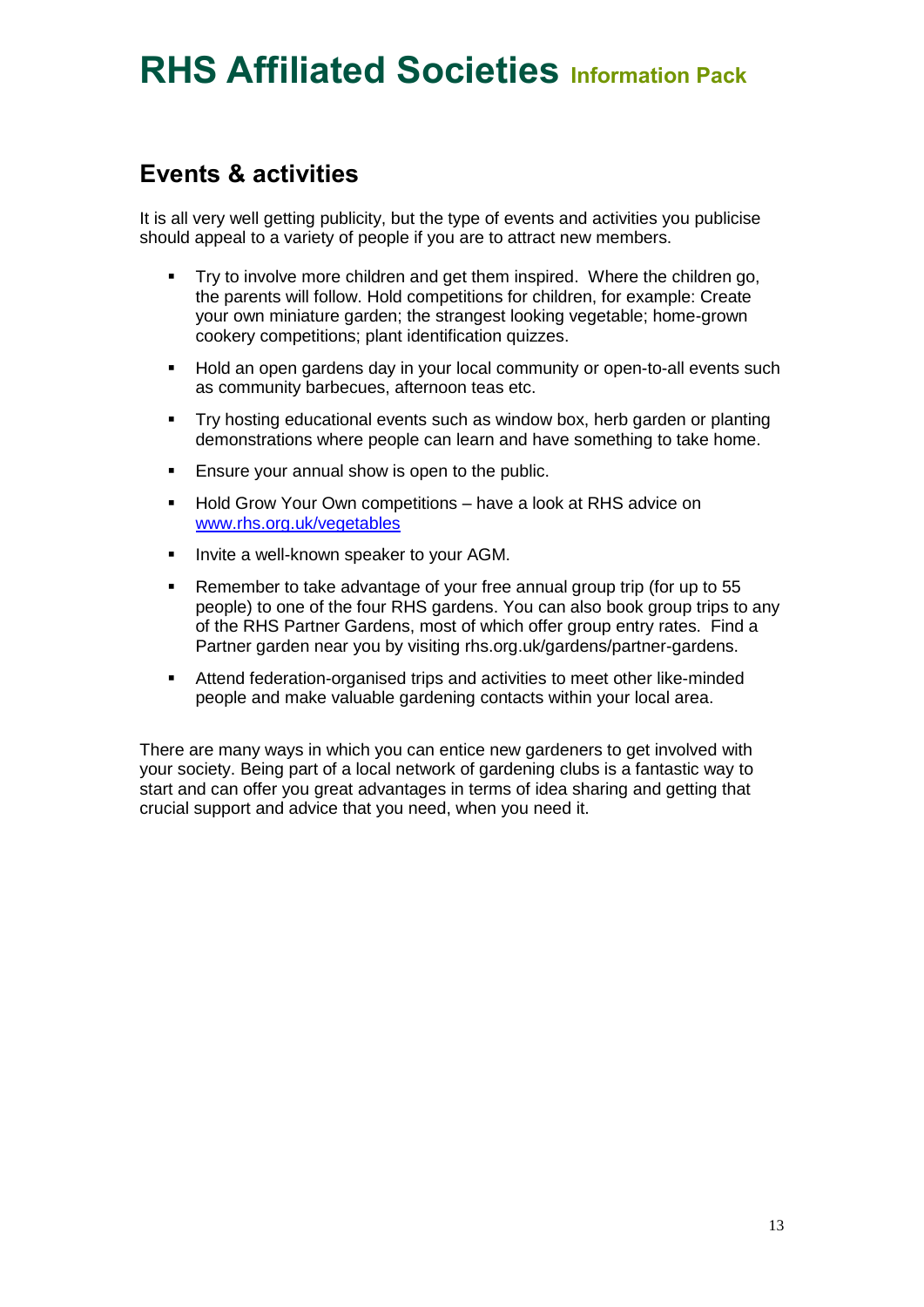### **Events & activities**

It is all very well getting publicity, but the type of events and activities you publicise should appeal to a variety of people if you are to attract new members.

- Try to involve more children and get them inspired. Where the children go, the parents will follow. Hold competitions for children, for example: Create your own miniature garden; the strangest looking vegetable; home-grown cookery competitions; plant identification quizzes.
- Hold an open gardens day in your local community or open-to-all events such as community barbecues, afternoon teas etc.
- Try hosting educational events such as window box, herb garden or planting demonstrations where people can learn and have something to take home.
- Ensure your annual show is open to the public.
- **Hold Grow Your Own competitions have a look at RHS advice on** [www.rhs.org.uk/vegetables](http://www.rhs.org.uk/vegetables)
- **Invite a well-known speaker to your AGM.**
- Remember to take advantage of your free annual group trip (for up to 55 people) to one of the four RHS gardens. You can also book group trips to any of the RHS Partner Gardens, most of which offer group entry rates. Find a Partner garden near you by visiting rhs.org.uk/gardens/partner-gardens.
- Attend federation-organised trips and activities to meet other like-minded people and make valuable gardening contacts within your local area.

There are many ways in which you can entice new gardeners to get involved with your society. Being part of a local network of gardening clubs is a fantastic way to start and can offer you great advantages in terms of idea sharing and getting that crucial support and advice that you need, when you need it.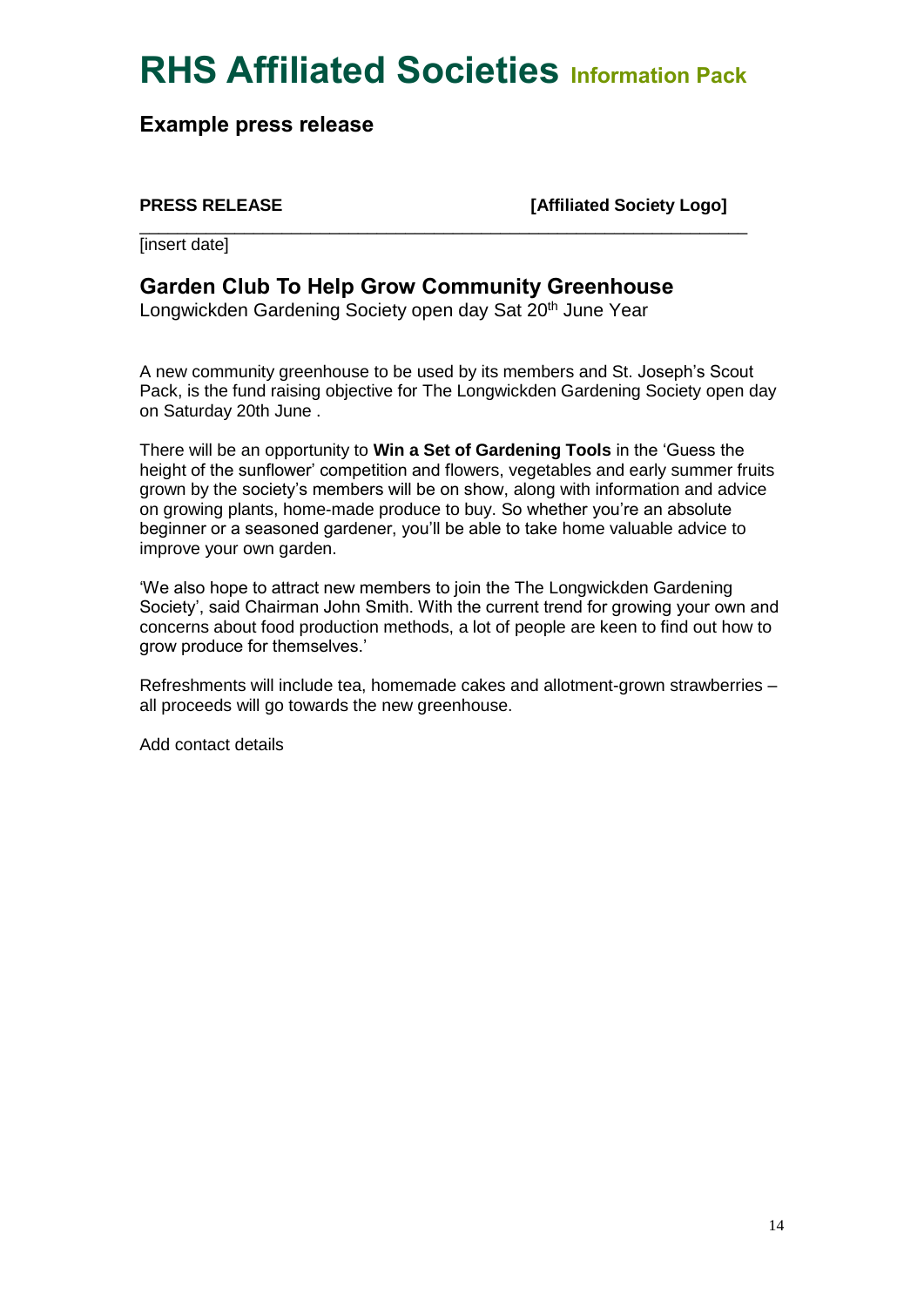\_\_\_\_\_\_\_\_\_\_\_\_\_\_\_\_\_\_\_\_\_\_\_\_\_\_\_\_\_\_\_\_\_\_\_\_\_\_\_\_\_\_\_\_\_\_\_\_\_\_\_\_\_\_\_\_\_\_\_\_\_\_\_\_

**Example press release**

**PRESS RELEASE [Affiliated Society Logo]**

**[insert date]** 

### **Garden Club To Help Grow Community Greenhouse**

Longwickden Gardening Society open day Sat 20<sup>th</sup> June Year

A new community greenhouse to be used by its members and St. Joseph's Scout Pack, is the fund raising objective for The Longwickden Gardening Society open day on Saturday 20th June .

There will be an opportunity to **Win a Set of Gardening Tools** in the 'Guess the height of the sunflower' competition and flowers, vegetables and early summer fruits grown by the society's members will be on show, along with information and advice on growing plants, home-made produce to buy. So whether you're an absolute beginner or a seasoned gardener, you'll be able to take home valuable advice to improve your own garden.

'We also hope to attract new members to join the The Longwickden Gardening Society', said Chairman John Smith. With the current trend for growing your own and concerns about food production methods, a lot of people are keen to find out how to grow produce for themselves.'

Refreshments will include tea, homemade cakes and allotment-grown strawberries – all proceeds will go towards the new greenhouse.

Add contact details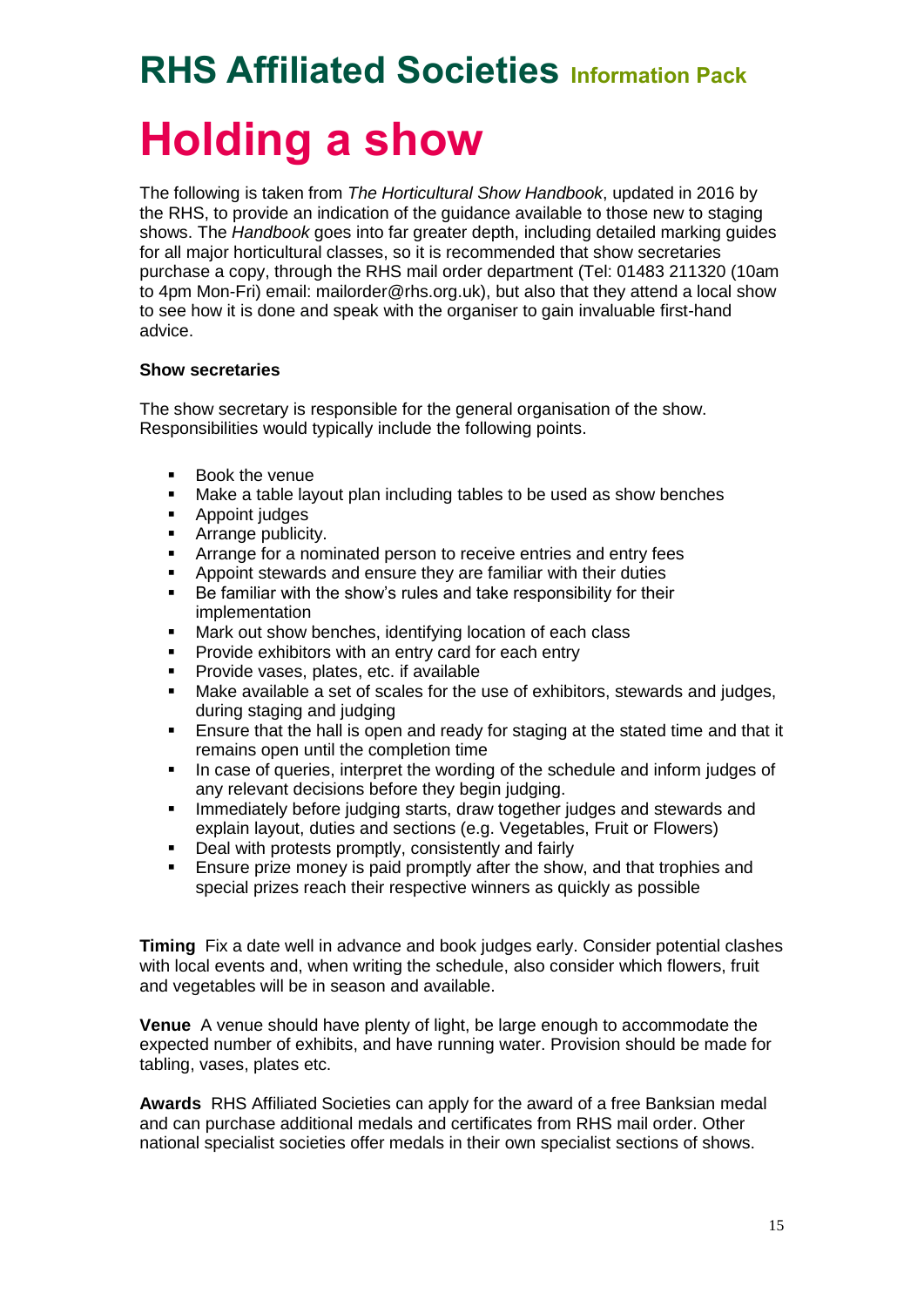# **Holding a show**

The following is taken from *The Horticultural Show Handbook*, updated in 2016 by the RHS, to provide an indication of the guidance available to those new to staging shows. The *Handbook* goes into far greater depth, including detailed marking guides for all major horticultural classes, so it is recommended that show secretaries purchase a copy, through the RHS mail order department (Tel: 01483 211320 (10am to 4pm Mon-Fri) email: mailorder@rhs.org.uk), but also that they attend a local show to see how it is done and speak with the organiser to gain invaluable first-hand advice.

### **Show secretaries**

The show secretary is responsible for the general organisation of the show. Responsibilities would typically include the following points.

- **Book the venue**
- Make a table layout plan including tables to be used as show benches
- Appoint judges
- Arrange publicity.
- Arrange for a nominated person to receive entries and entry fees
- Appoint stewards and ensure they are familiar with their duties
- Be familiar with the show's rules and take responsibility for their implementation
- Mark out show benches, identifying location of each class
- Provide exhibitors with an entry card for each entry
- Provide vases, plates, etc. if available
- Make available a set of scales for the use of exhibitors, stewards and judges, during staging and judging
- Ensure that the hall is open and ready for staging at the stated time and that it remains open until the completion time
- In case of queries, interpret the wording of the schedule and inform judges of any relevant decisions before they begin judging.
- **Immediately before judging starts, draw together judges and stewards and interest and stewards** explain layout, duties and sections (e.g. Vegetables, Fruit or Flowers)
- Deal with protests promptly, consistently and fairly
- Ensure prize money is paid promptly after the show, and that trophies and special prizes reach their respective winners as quickly as possible

**Timing** Fix a date well in advance and book judges early. Consider potential clashes with local events and, when writing the schedule, also consider which flowers, fruit and vegetables will be in season and available.

**Venue** A venue should have plenty of light, be large enough to accommodate the expected number of exhibits, and have running water. Provision should be made for tabling, vases, plates etc.

**Awards** RHS Affiliated Societies can apply for the award of a free Banksian medal and can purchase additional medals and certificates from RHS mail order. Other national specialist societies offer medals in their own specialist sections of shows.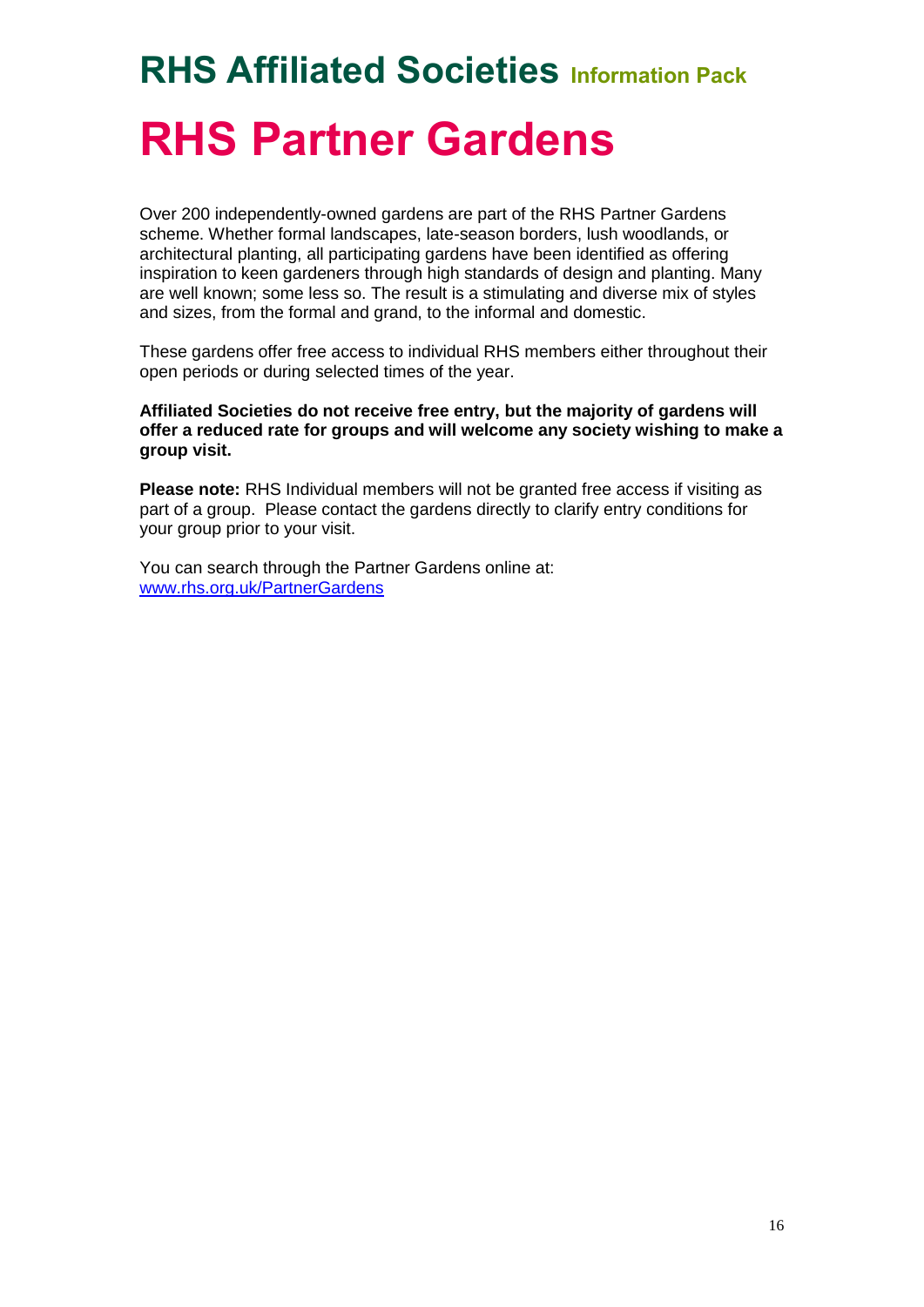# **RHS Affiliated Societies Information Pack RHS Partner Gardens**

Over 200 independently-owned gardens are part of the RHS Partner Gardens scheme. Whether formal landscapes, late-season borders, lush woodlands, or architectural planting, all participating gardens have been identified as offering inspiration to keen gardeners through high standards of design and planting. Many are well known; some less so. The result is a stimulating and diverse mix of styles and sizes, from the formal and grand, to the informal and domestic.

These gardens offer free access to individual RHS members either throughout their open periods or during selected times of the year.

**Affiliated Societies do not receive free entry, but the majority of gardens will offer a reduced rate for groups and will welcome any society wishing to make a group visit.** 

**Please note:** RHS Individual members will not be granted free access if visiting as part of a group. Please contact the gardens directly to clarify entry conditions for your group prior to your visit.

You can search through the Partner Gardens online at: [www.rhs.org.uk/PartnerGardens](http://www.rhs.org.uk/PartnerGardens)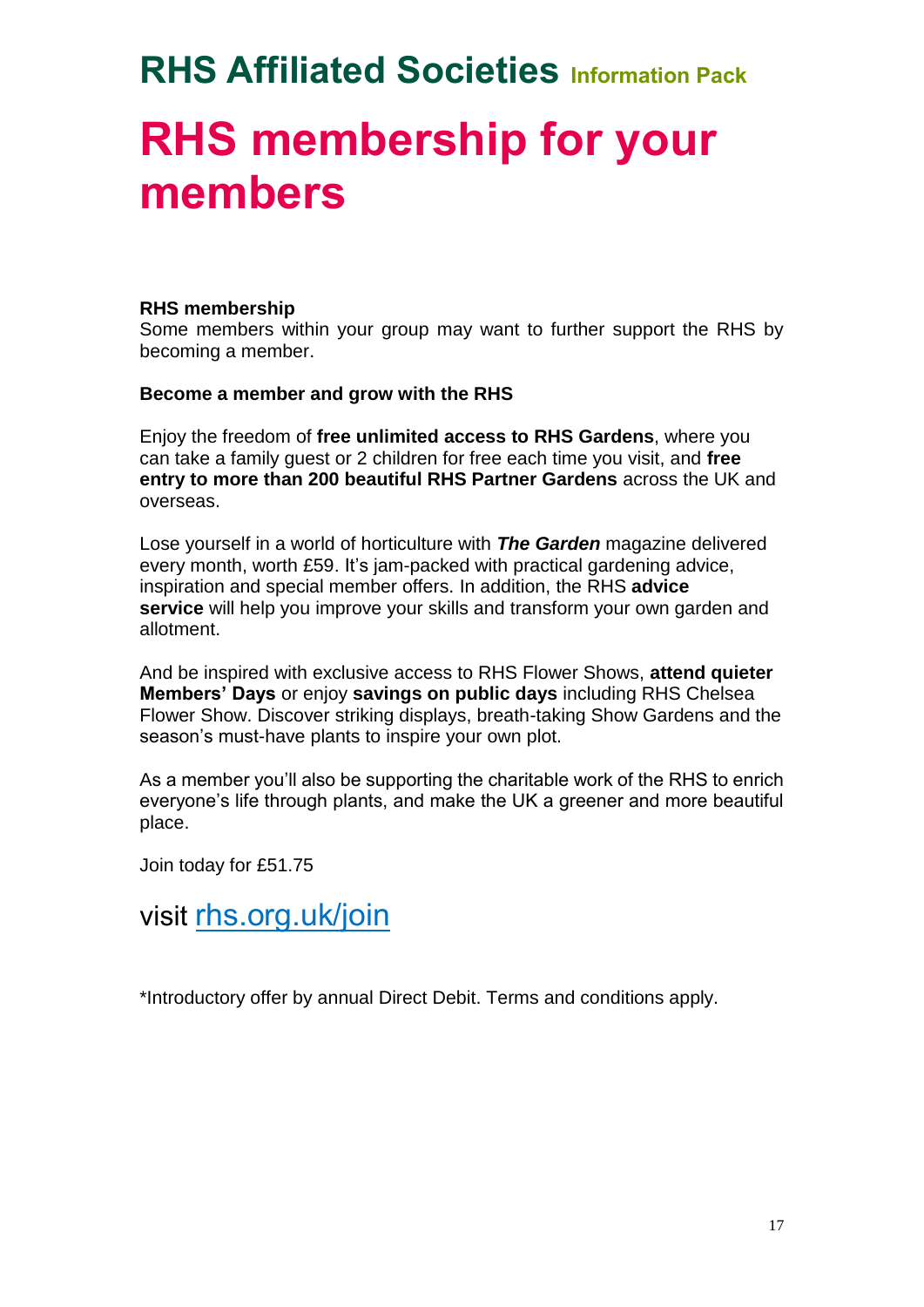## **RHS membership for your members**

### **RHS membership**

Some members within your group may want to further support the RHS by becoming a member.

### **Become a member and grow with the RHS**

Enjoy the freedom of **free unlimited access to RHS Gardens**, where you can take a family guest or 2 children for free each time you visit, and **free entry to more than 200 beautiful RHS Partner Gardens** across the UK and overseas.

Lose yourself in a world of horticulture with *The Garden* magazine delivered every month, worth £59. It's jam-packed with practical gardening advice, inspiration and special member offers. In addition, the RHS **advice service** will help you improve your skills and transform your own garden and allotment.

And be inspired with exclusive access to RHS Flower Shows, **attend quieter Members' Days** or enjoy **savings on public days** including RHS Chelsea Flower Show. Discover striking displays, breath-taking Show Gardens and the season's must-have plants to inspire your own plot.

As a member you'll also be supporting the charitable work of the RHS to enrich everyone's life through plants, and make the UK a greener and more beautiful place.

Join today for £51.75

visit [rhs.org.uk/join](http://www.rhs.org.uk/join)

\*Introductory offer by annual Direct Debit. Terms and conditions apply.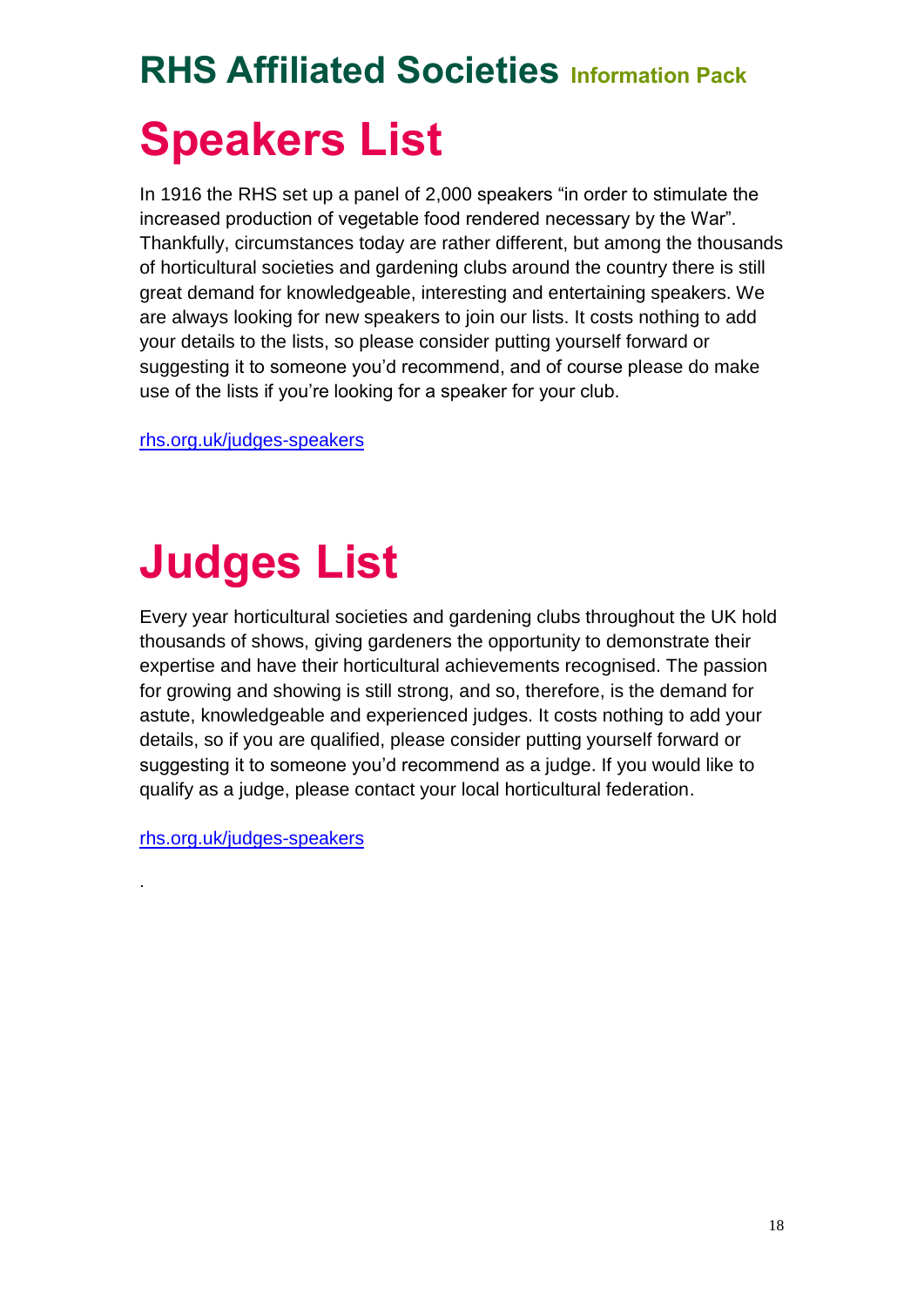# **RHS Affiliated Societies Information Pack Speakers List**

In 1916 the RHS set up a panel of 2,000 speakers "in order to stimulate the increased production of vegetable food rendered necessary by the War". Thankfully, circumstances today are rather different, but among the thousands of horticultural societies and gardening clubs around the country there is still great demand for knowledgeable, interesting and entertaining speakers. We are always looking for new speakers to join our lists. It costs nothing to add your details to the lists, so please consider putting yourself forward or suggesting it to someone you'd recommend, and of course please do make use of the lists if you're looking for a speaker for your club.

[rhs.org.uk/judges-speakers](http://www.rhs.org.uk/judges-speakers)

# **Judges List**

Every year horticultural societies and gardening clubs throughout the UK hold thousands of shows, giving gardeners the opportunity to demonstrate their expertise and have their horticultural achievements recognised. The passion for growing and showing is still strong, and so, therefore, is the demand for astute, knowledgeable and experienced judges. It costs nothing to add your details, so if you are qualified, please consider putting yourself forward or suggesting it to someone you'd recommend as a judge. If you would like to qualify as a judge, please contact your local horticultural federation.

[rhs.org.uk/judges-speakers](http://www.rhs.org.uk/judges-speakers)

.